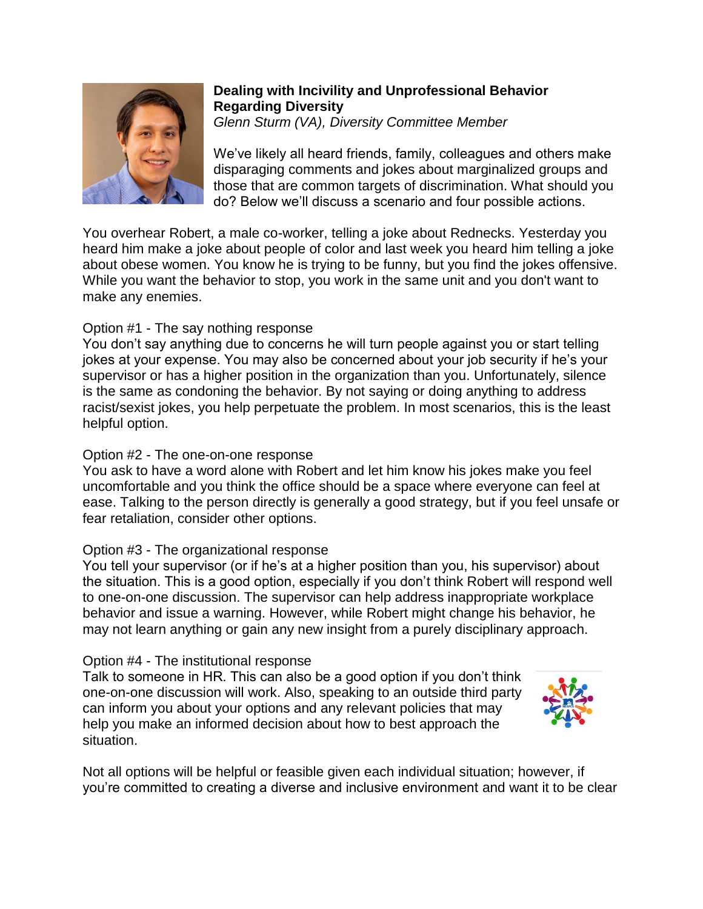

# **Dealing with Incivility and Unprofessional Behavior Regarding Diversity**

*Glenn Sturm (VA), Diversity Committee Member*

We've likely all heard friends, family, colleagues and others make disparaging comments and jokes about marginalized groups and those that are common targets of discrimination. What should you do? Below we'll discuss a scenario and four possible actions.

You overhear Robert, a male co-worker, telling a joke about Rednecks. Yesterday you heard him make a joke about people of color and last week you heard him telling a joke about obese women. You know he is trying to be funny, but you find the jokes offensive. While you want the behavior to stop, you work in the same unit and you don't want to make any enemies.

## Option #1 - The say nothing response

You don't say anything due to concerns he will turn people against you or start telling jokes at your expense. You may also be concerned about your job security if he's your supervisor or has a higher position in the organization than you. Unfortunately, silence is the same as condoning the behavior. By not saying or doing anything to address racist/sexist jokes, you help perpetuate the problem. In most scenarios, this is the least helpful option.

## Option #2 - The one-on-one response

You ask to have a word alone with Robert and let him know his jokes make you feel uncomfortable and you think the office should be a space where everyone can feel at ease. Talking to the person directly is generally a good strategy, but if you feel unsafe or fear retaliation, consider other options.

## Option #3 - The organizational response

You tell your supervisor (or if he's at a higher position than you, his supervisor) about the situation. This is a good option, especially if you don't think Robert will respond well to one-on-one discussion. The supervisor can help address inappropriate workplace behavior and issue a warning. However, while Robert might change his behavior, he may not learn anything or gain any new insight from a purely disciplinary approach.

## Option #4 - The institutional response

Talk to someone in HR. This can also be a good option if you don't think one-on-one discussion will work. Also, speaking to an outside third party can inform you about your options and any relevant policies that may help you make an informed decision about how to best approach the situation.



Not all options will be helpful or feasible given each individual situation; however, if you're committed to creating a diverse and inclusive environment and want it to be clear